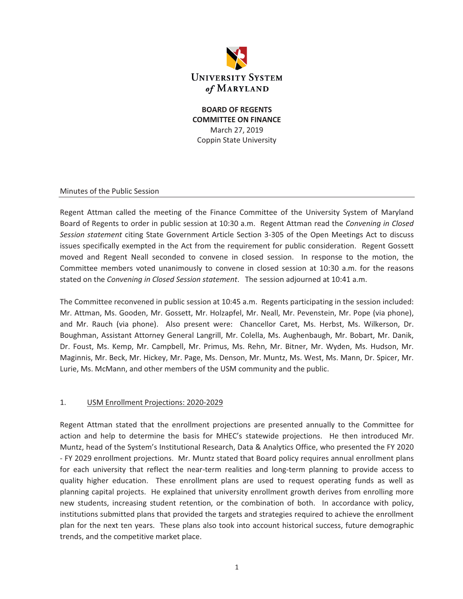

**BOARD OF REGENTS COMMITTEE ON FINANCE**  March 27, 2019 Coppin State University

Minutes of the Public Session

Regent Attman called the meeting of the Finance Committee of the University System of Maryland Board of Regents to order in public session at 10:30 a.m. Regent Attman read the *Convening in Closed Session statement* citing State Government Article Section 3-305 of the Open Meetings Act to discuss issues specifically exempted in the Act from the requirement for public consideration. Regent Gossett moved and Regent Neall seconded to convene in closed session. In response to the motion, the Committee members voted unanimously to convene in closed session at 10:30 a.m. for the reasons stated on the *Convening in Closed Session statement*. The session adjourned at 10:41 a.m.

The Committee reconvened in public session at 10:45 a.m. Regents participating in the session included: Mr. Attman, Ms. Gooden, Mr. Gossett, Mr. Holzapfel, Mr. Neall, Mr. Pevenstein, Mr. Pope (via phone), and Mr. Rauch (via phone). Also present were: Chancellor Caret, Ms. Herbst, Ms. Wilkerson, Dr. Boughman, Assistant Attorney General Langrill, Mr. Colella, Ms. Aughenbaugh, Mr. Bobart, Mr. Danik, Dr. Foust, Ms. Kemp, Mr. Campbell, Mr. Primus, Ms. Rehn, Mr. Bitner, Mr. Wyden, Ms. Hudson, Mr. Maginnis, Mr. Beck, Mr. Hickey, Mr. Page, Ms. Denson, Mr. Muntz, Ms. West, Ms. Mann, Dr. Spicer, Mr. Lurie, Ms. McMann, and other members of the USM community and the public.

#### 1. USM Enrollment Projections: 2020-2029

Regent Attman stated that the enrollment projections are presented annually to the Committee for action and help to determine the basis for MHEC's statewide projections. He then introduced Mr. Muntz, head of the System's Institutional Research, Data & Analytics Office, who presented the FY 2020 - FY 2029 enrollment projections. Mr. Muntz stated that Board policy requires annual enrollment plans for each university that reflect the near-term realities and long-term planning to provide access to quality higher education. These enrollment plans are used to request operating funds as well as planning capital projects. He explained that university enrollment growth derives from enrolling more new students, increasing student retention, or the combination of both. In accordance with policy, institutions submitted plans that provided the targets and strategies required to achieve the enrollment plan for the next ten years. These plans also took into account historical success, future demographic trends, and the competitive market place.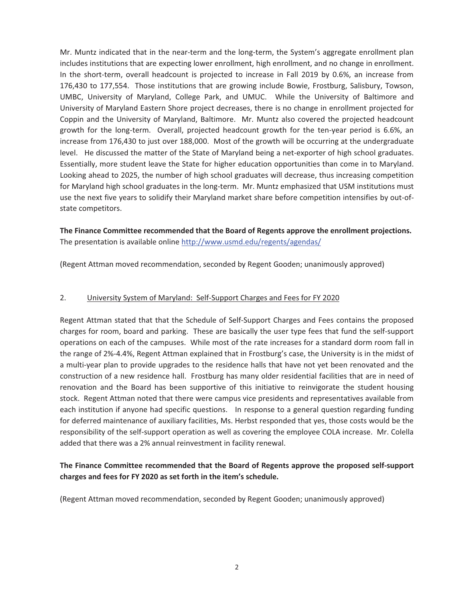Mr. Muntz indicated that in the near-term and the long-term, the System's aggregate enrollment plan includes institutions that are expecting lower enrollment, high enrollment, and no change in enrollment. In the short-term, overall headcount is projected to increase in Fall 2019 by 0.6%, an increase from 176,430 to 177,554. Those institutions that are growing include Bowie, Frostburg, Salisbury, Towson, UMBC, University of Maryland, College Park, and UMUC. While the University of Baltimore and University of Maryland Eastern Shore project decreases, there is no change in enrollment projected for Coppin and the University of Maryland, Baltimore. Mr. Muntz also covered the projected headcount growth for the long-term. Overall, projected headcount growth for the ten-year period is 6.6%, an increase from 176,430 to just over 188,000. Most of the growth will be occurring at the undergraduate level. He discussed the matter of the State of Maryland being a net-exporter of high school graduates. Essentially, more student leave the State for higher education opportunities than come in to Maryland. Looking ahead to 2025, the number of high school graduates will decrease, thus increasing competition for Maryland high school graduates in the long-term. Mr. Muntz emphasized that USM institutions must use the next five years to solidify their Maryland market share before competition intensifies by out-ofstate competitors.

**The Finance Committee recommended that the Board of Regents approve the enrollment projections.**  The presentation is available online http://www.usmd.edu/regents/agendas/

(Regent Attman moved recommendation, seconded by Regent Gooden; unanimously approved)

#### 2. University System of Maryland: Self-Support Charges and Fees for FY 2020

Regent Attman stated that that the Schedule of Self-Support Charges and Fees contains the proposed charges for room, board and parking. These are basically the user type fees that fund the self-support operations on each of the campuses. While most of the rate increases for a standard dorm room fall in the range of 2%-4.4%, Regent Attman explained that in Frostburg's case, the University is in the midst of a multi-year plan to provide upgrades to the residence halls that have not yet been renovated and the construction of a new residence hall. Frostburg has many older residential facilities that are in need of renovation and the Board has been supportive of this initiative to reinvigorate the student housing stock. Regent Attman noted that there were campus vice presidents and representatives available from each institution if anyone had specific questions. In response to a general question regarding funding for deferred maintenance of auxiliary facilities, Ms. Herbst responded that yes, those costs would be the responsibility of the self-support operation as well as covering the employee COLA increase. Mr. Colella added that there was a 2% annual reinvestment in facility renewal.

## **The Finance Committee recommended that the Board of Regents approve the proposed self-support charges and fees for FY 2020 as set forth in the item's schedule.**

(Regent Attman moved recommendation, seconded by Regent Gooden; unanimously approved)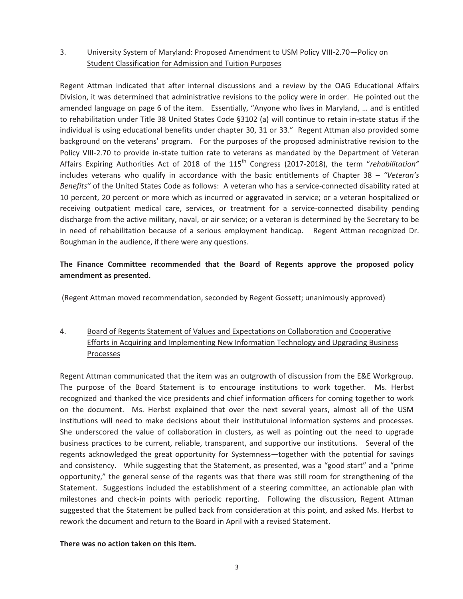## 3. University System of Maryland: Proposed Amendment to USM Policy VIII-2.70—Policy on Student Classification for Admission and Tuition Purposes

Regent Attman indicated that after internal discussions and a review by the OAG Educational Affairs Division, it was determined that administrative revisions to the policy were in order. He pointed out the amended language on page 6 of the item. Essentially, "Anyone who lives in Maryland, … and is entitled to rehabilitation under Title 38 United States Code §3102 (a) will continue to retain in-state status if the individual is using educational benefits under chapter 30, 31 or 33." Regent Attman also provided some background on the veterans' program. For the purposes of the proposed administrative revision to the Policy VIII-2.70 to provide in-state tuition rate to veterans as mandated by the Department of Veteran Affairs Expiring Authorities Act of 2018 of the 115<sup>th</sup> Congress (2017-2018), the term "rehabilitation" includes veterans who qualify in accordance with the basic entitlements of Chapter 38 – *"Veteran's Benefits"* of the United States Code as follows: A veteran who has a service-connected disability rated at 10 percent, 20 percent or more which as incurred or aggravated in service; or a veteran hospitalized or receiving outpatient medical care, services, or treatment for a service-connected disability pending discharge from the active military, naval, or air service; or a veteran is determined by the Secretary to be in need of rehabilitation because of a serious employment handicap. Regent Attman recognized Dr. Boughman in the audience, if there were any questions.

## **The Finance Committee recommended that the Board of Regents approve the proposed policy amendment as presented.**

(Regent Attman moved recommendation, seconded by Regent Gossett; unanimously approved)

# 4. Board of Regents Statement of Values and Expectations on Collaboration and Cooperative Efforts in Acquiring and Implementing New Information Technology and Upgrading Business Processes

Regent Attman communicated that the item was an outgrowth of discussion from the E&E Workgroup. The purpose of the Board Statement is to encourage institutions to work together. Ms. Herbst recognized and thanked the vice presidents and chief information officers for coming together to work on the document. Ms. Herbst explained that over the next several years, almost all of the USM institutions will need to make decisions about their institutuional information systems and processes. She underscored the value of collaboration in clusters, as well as pointing out the need to upgrade business practices to be current, reliable, transparent, and supportive our institutions. Several of the regents acknowledged the great opportunity for Systemness—together with the potential for savings and consistency. While suggesting that the Statement, as presented, was a "good start" and a "prime opportunity," the general sense of the regents was that there was still room for strengthening of the Statement. Suggestions included the establishment of a steering committee, an actionable plan with milestones and check-in points with periodic reporting. Following the discussion, Regent Attman suggested that the Statement be pulled back from consideration at this point, and asked Ms. Herbst to rework the document and return to the Board in April with a revised Statement.

## **There was no action taken on this item.**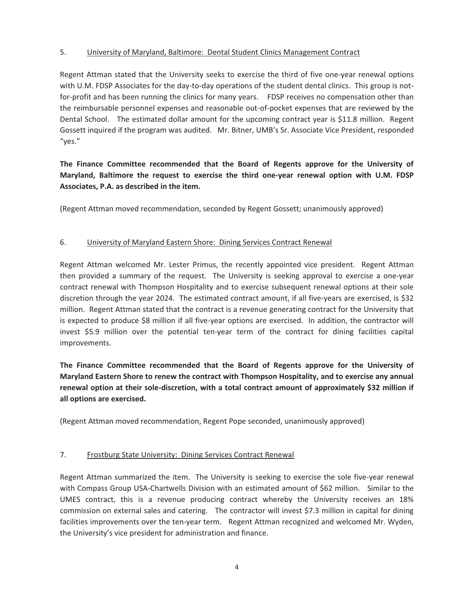## 5. University of Maryland, Baltimore: Dental Student Clinics Management Contract

Regent Attman stated that the University seeks to exercise the third of five one-year renewal options with U.M. FDSP Associates for the day-to-day operations of the student dental clinics. This group is notfor-profit and has been running the clinics for many years. FDSP receives no compensation other than the reimbursable personnel expenses and reasonable out-of-pocket expenses that are reviewed by the Dental School. The estimated dollar amount for the upcoming contract year is \$11.8 million. Regent Gossett inquired if the program was audited. Mr. Bitner, UMB's Sr. Associate Vice President, responded "yes."

# **The Finance Committee recommended that the Board of Regents approve for the University of Maryland, Baltimore the request to exercise the third one-year renewal option with U.M. FDSP Associates, P.A. as described in the item.**

(Regent Attman moved recommendation, seconded by Regent Gossett; unanimously approved)

## 6. University of Maryland Eastern Shore: Dining Services Contract Renewal

Regent Attman welcomed Mr. Lester Primus, the recently appointed vice president. Regent Attman then provided a summary of the request. The University is seeking approval to exercise a one-year contract renewal with Thompson Hospitality and to exercise subsequent renewal options at their sole discretion through the year 2024. The estimated contract amount, if all five-years are exercised, is \$32 million. Regent Attman stated that the contract is a revenue generating contract for the University that is expected to produce \$8 million if all five-year options are exercised. In addition, the contractor will invest \$5.9 million over the potential ten-year term of the contract for dining facilities capital improvements.

**The Finance Committee recommended that the Board of Regents approve for the University of Maryland Eastern Shore to renew the contract with Thompson Hospitality, and to exercise any annual renewal option at their sole-discretion, with a total contract amount of approximately \$32 million if all options are exercised.**

(Regent Attman moved recommendation, Regent Pope seconded, unanimously approved)

## 7. Frostburg State University: Dining Services Contract Renewal

Regent Attman summarized the item. The University is seeking to exercise the sole five-year renewal with Compass Group USA-Chartwells Division with an estimated amount of \$62 million. Similar to the UMES contract, this is a revenue producing contract whereby the University receives an 18% commission on external sales and catering. The contractor will invest \$7.3 million in capital for dining facilities improvements over the ten-year term. Regent Attman recognized and welcomed Mr. Wyden, the University's vice president for administration and finance.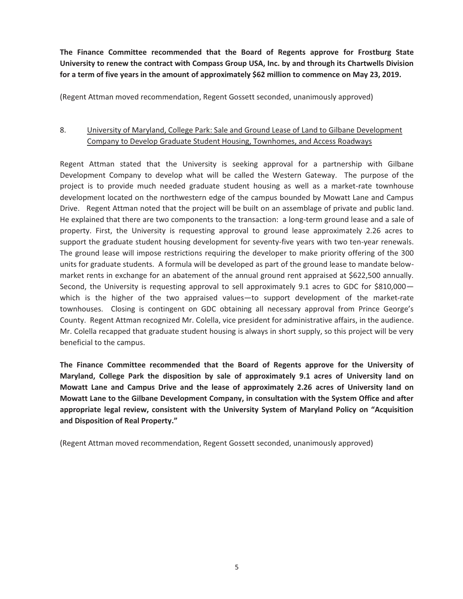**The Finance Committee recommended that the Board of Regents approve for Frostburg State University to renew the contract with Compass Group USA, Inc. by and through its Chartwells Division for a term of five years in the amount of approximately \$62 million to commence on May 23, 2019.** 

(Regent Attman moved recommendation, Regent Gossett seconded, unanimously approved)

## 8. University of Maryland, College Park: Sale and Ground Lease of Land to Gilbane Development Company to Develop Graduate Student Housing, Townhomes, and Access Roadways

Regent Attman stated that the University is seeking approval for a partnership with Gilbane Development Company to develop what will be called the Western Gateway. The purpose of the project is to provide much needed graduate student housing as well as a market-rate townhouse development located on the northwestern edge of the campus bounded by Mowatt Lane and Campus Drive. Regent Attman noted that the project will be built on an assemblage of private and public land. He explained that there are two components to the transaction: a long-term ground lease and a sale of property. First, the University is requesting approval to ground lease approximately 2.26 acres to support the graduate student housing development for seventy-five years with two ten-year renewals. The ground lease will impose restrictions requiring the developer to make priority offering of the 300 units for graduate students. A formula will be developed as part of the ground lease to mandate belowmarket rents in exchange for an abatement of the annual ground rent appraised at \$622,500 annually. Second, the University is requesting approval to sell approximately 9.1 acres to GDC for \$810,000which is the higher of the two appraised values—to support development of the market-rate townhouses. Closing is contingent on GDC obtaining all necessary approval from Prince George's County. Regent Attman recognized Mr. Colella, vice president for administrative affairs, in the audience. Mr. Colella recapped that graduate student housing is always in short supply, so this project will be very beneficial to the campus.

**The Finance Committee recommended that the Board of Regents approve for the University of Maryland, College Park the disposition by sale of approximately 9.1 acres of University land on Mowatt Lane and Campus Drive and the lease of approximately 2.26 acres of University land on Mowatt Lane to the Gilbane Development Company, in consultation with the System Office and after appropriate legal review, consistent with the University System of Maryland Policy on "Acquisition and Disposition of Real Property."** 

(Regent Attman moved recommendation, Regent Gossett seconded, unanimously approved)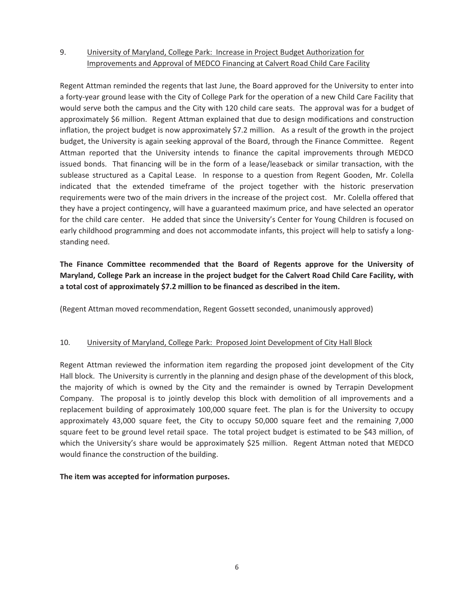## 9. University of Maryland, College Park: Increase in Project Budget Authorization for Improvements and Approval of MEDCO Financing at Calvert Road Child Care Facility

Regent Attman reminded the regents that last June, the Board approved for the University to enter into a forty-year ground lease with the City of College Park for the operation of a new Child Care Facility that would serve both the campus and the City with 120 child care seats. The approval was for a budget of approximately \$6 million. Regent Attman explained that due to design modifications and construction inflation, the project budget is now approximately \$7.2 million. As a result of the growth in the project budget, the University is again seeking approval of the Board, through the Finance Committee. Regent Attman reported that the University intends to finance the capital improvements through MEDCO issued bonds. That financing will be in the form of a lease/leaseback or similar transaction, with the sublease structured as a Capital Lease. In response to a question from Regent Gooden, Mr. Colella indicated that the extended timeframe of the project together with the historic preservation requirements were two of the main drivers in the increase of the project cost. Mr. Colella offered that they have a project contingency, will have a guaranteed maximum price, and have selected an operator for the child care center. He added that since the University's Center for Young Children is focused on early childhood programming and does not accommodate infants, this project will help to satisfy a longstanding need.

# **The Finance Committee recommended that the Board of Regents approve for the University of Maryland, College Park an increase in the project budget for the Calvert Road Child Care Facility, with a total cost of approximately \$7.2 million to be financed as described in the item.**

(Regent Attman moved recommendation, Regent Gossett seconded, unanimously approved)

## 10. University of Maryland, College Park: Proposed Joint Development of City Hall Block

Regent Attman reviewed the information item regarding the proposed joint development of the City Hall block. The University is currently in the planning and design phase of the development of this block, the majority of which is owned by the City and the remainder is owned by Terrapin Development Company. The proposal is to jointly develop this block with demolition of all improvements and a replacement building of approximately 100,000 square feet. The plan is for the University to occupy approximately 43,000 square feet, the City to occupy 50,000 square feet and the remaining 7,000 square feet to be ground level retail space. The total project budget is estimated to be \$43 million, of which the University's share would be approximately \$25 million. Regent Attman noted that MEDCO would finance the construction of the building.

## **The item was accepted for information purposes.**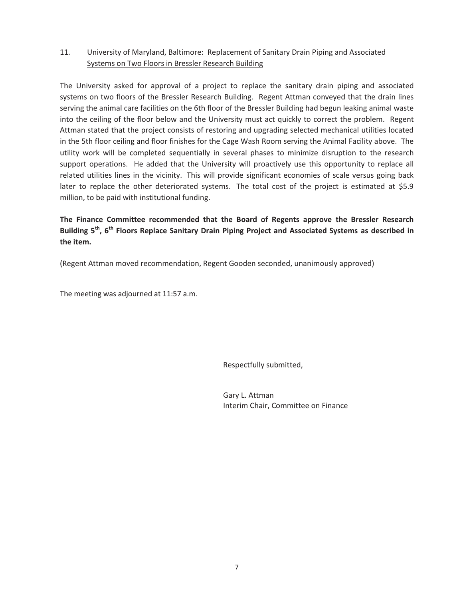## 11. University of Maryland, Baltimore: Replacement of Sanitary Drain Piping and Associated Systems on Two Floors in Bressler Research Building

The University asked for approval of a project to replace the sanitary drain piping and associated systems on two floors of the Bressler Research Building. Regent Attman conveyed that the drain lines serving the animal care facilities on the 6th floor of the Bressler Building had begun leaking animal waste into the ceiling of the floor below and the University must act quickly to correct the problem. Regent Attman stated that the project consists of restoring and upgrading selected mechanical utilities located in the 5th floor ceiling and floor finishes for the Cage Wash Room serving the Animal Facility above. The utility work will be completed sequentially in several phases to minimize disruption to the research support operations. He added that the University will proactively use this opportunity to replace all related utilities lines in the vicinity. This will provide significant economies of scale versus going back later to replace the other deteriorated systems. The total cost of the project is estimated at \$5.9 million, to be paid with institutional funding.

**The Finance Committee recommended that the Board of Regents approve the Bressler Research Building 5th, 6th Floors Replace Sanitary Drain Piping Project and Associated Systems as described in the item.** 

(Regent Attman moved recommendation, Regent Gooden seconded, unanimously approved)

The meeting was adjourned at 11:57 a.m.

Respectfully submitted,

 Gary L. Attman Interim Chair, Committee on Finance